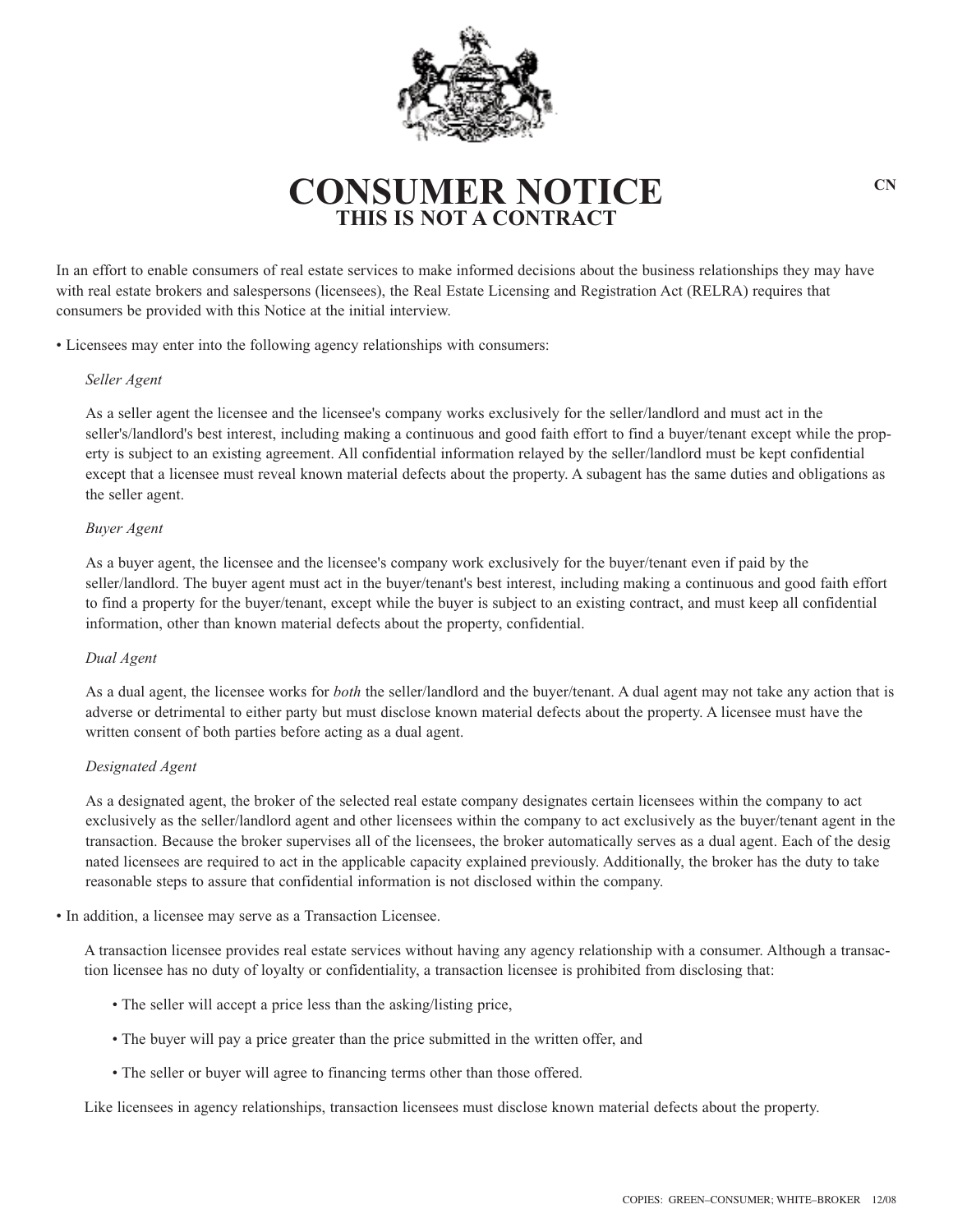

# **CONSUMER NOTICE**  $C_N$ **THIS IS NOT A CONTRAC**

In an effort to enable consumers of real estate services to make informed decisions about the business relationships they may have with real estate brokers and salespersons (licensees), the Real Estate Licensing and Registration Act (RELRA) requires that consumers be provided with this Notice at the initial interview.

• Licensees may enter into the following agency relationships with consumers:

## *Seller Agent*

As a seller agent the licensee and the licensee's company works exclusively for the seller/landlord and must act in the seller's/landlord's best interest, including making a continuous and good faith effort to find a buyer/tenant except while the property is subject to an existing agreement. All confidential information relayed by the seller/landlord must be kept confidential except that a licensee must reveal known material defects about the property. A subagent has the same duties and obligations as the seller agent.

## *Buyer Agent*

As a buyer agent, the licensee and the licensee's company work exclusively for the buyer/tenant even if paid by the seller/landlord. The buyer agent must act in the buyer/tenant's best interest, including making a continuous and good faith effort to find a property for the buyer/tenant, except while the buyer is subject to an existing contract, and must keep all confidential information, other than known material defects about the property, confidential.

#### *Dual Agent*

As a dual agent, the licensee works for *both* the seller/landlord and the buyer/tenant. A dual agent may not take any action that is adverse or detrimental to either party but must disclose known material defects about the property. A licensee must have the written consent of both parties before acting as a dual agent.

# *Designated Agent*

As a designated agent, the broker of the selected real estate company designates certain licensees within the company to act exclusively as the seller/landlord agent and other licensees within the company to act exclusively as the buyer/tenant agent in the transaction. Because the broker supervises all of the licensees, the broker automatically serves as a dual agent. Each of the desig nated licensees are required to act in the applicable capacity explained previously. Additionally, the broker has the duty to take reasonable steps to assure that confidential information is not disclosed within the company.

• In addition, a licensee may serve as a Transaction Licensee.

A transaction licensee provides real estate services without having any agency relationship with a consumer. Although a transaction licensee has no duty of loyalty or confidentiality, a transaction licensee is prohibited from disclosing that:

- The seller will accept a price less than the asking/listing price,
- The buyer will pay a price greater than the price submitted in the written offer, and
- The seller or buyer will agree to financing terms other than those offered.

Like licensees in agency relationships, transaction licensees must disclose known material defects about the property.